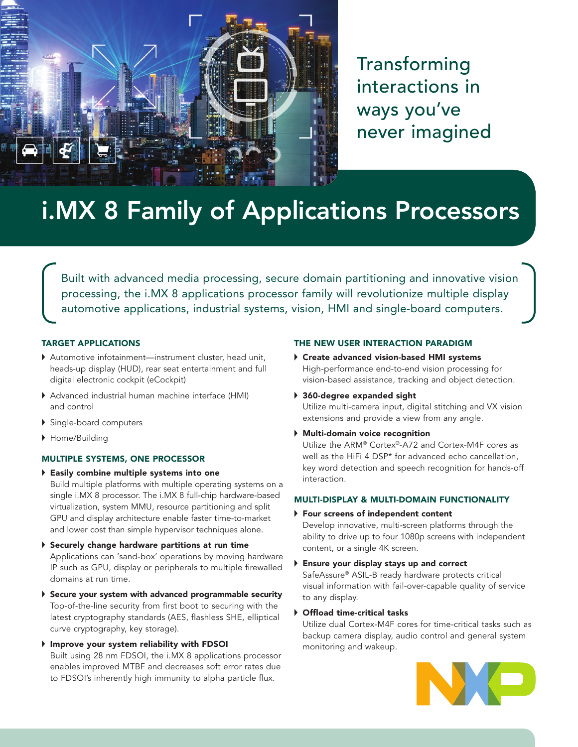

Transforming interactions in ways you've never imagined

# i.MX 8 Family of Applications Processors

Built with advanced media processing, secure domain partitioning and innovative vision processing, the i.MX 8 applications processor family will revolutionize multiple display automotive applications, industrial systems, vision, HMI and single-board computers.

# TARGET APPLICATIONS

- [Automotive infotainment—](http://www.nxp.com/applications/solutions-for-the-iot-and-adas/secure-connected-car-and-adas/infotainment:INFOTAINMENT)[instrument cluster](http://www.nxp.com/applications/solutions-for-the-iot-and-adas/secure-connected-car-and-adas/instrument-clusters:INSTRUMENT-CLUSTERS), head unit, heads-up display (HUD), rear seat entertainment and full digital electronic cockpit (eCockpit)
- Advanced industrial human machine interface (HMI) and control
- Single-board computers
- Home/Building

# MULTIPLE SYSTEMS, ONE PROCESSOR

- Easily combine multiple systems into one Build multiple platforms with multiple operating systems on a single i.MX 8 processor. The i.MX 8 full-chip hardware-based virtualization, system MMU, resource partitioning and split GPU and display architecture enable faster time-to-market and lower cost than simple hypervisor techniques alone.
- Securely change hardware partitions at run time Applications can 'sand-box' operations by moving hardware IP such as GPU, display or peripherals to multiple firewalled domains at run time.
- Secure your system with advanced programmable security Top-of-the-line security from first boot to securing with the latest cryptography standards (AES, flashless SHE, elliptical curve cryptography, key storage).
- Improve your system reliability with FDSOI Built using 28 nm FDSOI, the i.MX 8 applications processor enables improved MTBF and decreases soft error rates due to FDSOI's inherently high immunity to alpha particle flux.

#### THE NEW USER INTERACTION PARADIGM

- Create advanced vision-based HMI systems High-performance end-to-end vision processing for vision-based assistance, tracking and object detection.
- 360-degree expanded sight Utilize multi-camera input, digital stitching and VX vision extensions and provide a view from any angle.
- Multi-domain voice recognition

Utilize the ARM® Cortex®-A72 and Cortex-M4F cores as well as the HiFi 4 DSP\* for advanced echo cancellation, key word detection and speech recognition for hands-off interaction.

# MULTI-DISPLAY & MULTI-DOMAIN FUNCTIONALITY

Four screens of independent content

Develop innovative, multi-screen platforms through the ability to drive up to four 1080p screens with independent content, or a single 4K screen.

- Ensure your display stays up and correct SafeAssure® ASIL-B ready hardware protects critical visual information with fail-over-capable quality of service to any display.
- Offload time-critical tasks

Utilize dual Cortex-M4F cores for time-critical tasks such as backup camera display, audio control and general system monitoring and wakeup.